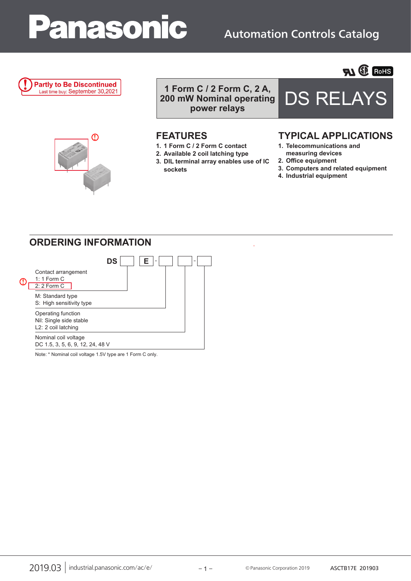# Panasonic

## Automation Controls Catalog

#### **Partly to Be Discontinued** Last time buy: September 30,2021

1 Form C / 2 Form C, 2 A,<br>000 mW Nominal operating DS RELAY **200 mW Nominal operating power relays**

- **1. 1 Form C / 2 Form C contact**
- **2. Available 2 coil latching type**
- **3. DIL terminal array enables use of IC sockets**



**FLI ED ROHS** 

## **FEATURES TYPICAL APPLICATIONS**

- **1. Telecommunications and measuring devices**
- **2. Office equipment**
- **3. Computers and related equipment**
- **4. Industrial equipment**

## **ORDERING INFORMATION**

᠓



Note: \* Nominal coil voltage 1.5V type are 1 Form C only.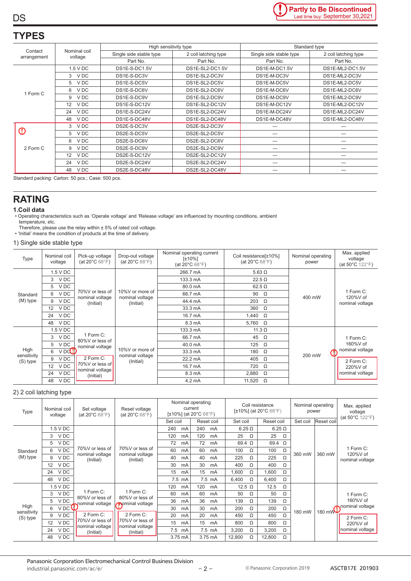## **TYPES**

**DS** 

|                         |                         | High sensitivity type   |                      | Standard type           |                      |  |  |
|-------------------------|-------------------------|-------------------------|----------------------|-------------------------|----------------------|--|--|
| Contact<br>arrangement  | Nominal coil<br>voltage | Single side stable type | 2 coil latching type | Single side stable type | 2 coil latching type |  |  |
|                         |                         | Part No.                | Part No.             | Part No.                | Part No.             |  |  |
|                         | 1.5 V DC                | DS1E-S-DC1.5V           | DS1E-SL2-DC1.5V      | DS1E-M-DC1.5V           | DS1E-ML2-DC1.5V      |  |  |
|                         | 3 VDC                   | DS1E-S-DC3V             | DS1E-SL2-DC3V        | DS1E-M-DC3V             | DS1E-ML2-DC3V        |  |  |
| 1 Form C                | 5 VDC                   | DS1E-S-DC5V             | DS1E-SL2-DC5V        | DS1E-M-DC5V             | DS1E-ML2-DC5V        |  |  |
|                         | V DC<br>6               | DS1E-S-DC6V             | DS1E-SL2-DC6V        | DS1E-M-DC6V             | DS1E-ML2-DC6V        |  |  |
|                         | 9 VDC                   | DS1E-S-DC9V             | DS1E-SL2-DC9V        | DS1E-M-DC9V             | DS1E-ML2-DC9V        |  |  |
|                         | V DC<br>12 <sup>2</sup> | DS1E-S-DC12V            | DS1E-SL2-DC12V       | DS1E-M-DC12V            | DS1E-ML2-DC12V       |  |  |
|                         | V DC<br>24              | DS1E-S-DC24V            | DS1E-SL2-DC24V       | DS1E-M-DC24V            | DS1E-ML2-DC24V       |  |  |
|                         | V DC<br>48              | DS1E-S-DC48V            | DS1E-SL2-DC48V       | DS1E-M-DC48V            | DS1E-ML2-DC48V       |  |  |
|                         | 3 VDC                   | DS2E-S-DC3V             | DS2E-SL2-DC3V        |                         |                      |  |  |
| $\mathbb O$<br>2 Form C | 5 VDC                   | DS2E-S-DC5V             | DS2E-SL2-DC5V        |                         |                      |  |  |
|                         | 6 VDC                   | DS2E-S-DC6V             | DS2E-SL2-DC6V        |                         |                      |  |  |
|                         | 9<br>V DC               | DS2E-S-DC9V             | DS2E-SL2-DC9V        |                         |                      |  |  |
|                         | V DC<br>12 <sup>2</sup> | DS2E-S-DC12V            | DS2E-SL2-DC12V       |                         |                      |  |  |
|                         | V DC<br>24              | DS2E-S-DC24V            | DS2E-SL2-DC24V       |                         |                      |  |  |
|                         | V DC<br>48              | DS2E-S-DC48V            | DS2E-SL2-DC48V       |                         |                      |  |  |

Standard packing: Carton: 50 pcs.; Case: 500 pcs.

### **RATING**

#### **1.Coil data**

• Operating characteristics such as 'Operate voltage' and 'Release voltage' are influenced by mounting conditions, ambient temperature, etc.

Therefore, please use the relay within ± 5% of rated coil voltage. • 'Initial' means the condition of products at the time of delivery.

#### 1) Single side stable type

| Type                            | Nominal coil<br>voltage   | Pick-up voltage<br>(at 20 $^{\circ}$ C 68 $^{\circ}$ F) | Drop-out voltage<br>(at $20^{\circ}$ C 68 $^{\circ}$ F) | Nominal operating current<br>$[t10\%]$<br>(at $20^{\circ}$ C 68 $^{\circ}$ F) | Coil resistance[±10%]<br>(at $20^{\circ}$ C 68 $^{\circ}$ F) | Nominal operating<br>power | Max. applied<br>voltage<br>(at $50^{\circ}$ C 122 $^{\circ}$ F) |  |
|---------------------------------|---------------------------|---------------------------------------------------------|---------------------------------------------------------|-------------------------------------------------------------------------------|--------------------------------------------------------------|----------------------------|-----------------------------------------------------------------|--|
|                                 | 1.5 V DC                  |                                                         | 10%V or more of<br>nominal voltage<br>(Initial)         | 266.7 mA<br>$5.63 \Omega$<br>133.3 mA<br>$22.5 \Omega$                        |                                                              |                            |                                                                 |  |
|                                 | V DC<br>3                 |                                                         |                                                         |                                                                               |                                                              |                            |                                                                 |  |
|                                 | V DC<br>5                 |                                                         |                                                         | 80.0 mA                                                                       | $62.5 \Omega$                                                |                            | 1 Form C:<br>120%V of<br>nominal voltage                        |  |
| Standard                        | V DC<br>6                 | 70%V or less of<br>nominal voltage                      |                                                         | 66.7 mA                                                                       | 90 $\Omega$                                                  | 400 mW                     |                                                                 |  |
| (M) type                        | 9<br>V DC                 | (Initial)                                               |                                                         | 44.4 mA                                                                       | 203<br>$\Omega$                                              |                            |                                                                 |  |
|                                 | $12 \overline{ }$<br>V DC |                                                         |                                                         | 33.3 mA                                                                       | 360<br>$\Omega$                                              |                            |                                                                 |  |
|                                 | 24<br>V DC                |                                                         |                                                         | 16.7 mA                                                                       | 1,440<br>$\Omega$                                            |                            |                                                                 |  |
|                                 | V DC<br>48                |                                                         |                                                         | 8.3 mA                                                                        | 5,760 $\Omega$                                               |                            |                                                                 |  |
| High<br>sensitivity<br>(S) type | $1.5$ V DC                |                                                         | 10%V or more of<br>nominal voltage<br>(Initial)         | 133.3 mA                                                                      | 11.3 $\Omega$                                                |                            |                                                                 |  |
|                                 | V DC<br>3                 | 1 Form C:<br>80%V or less of                            |                                                         | 66.7 mA                                                                       | 45 $\Omega$                                                  |                            | 1 Form C:                                                       |  |
|                                 | V DC<br>5                 | nominal voltage                                         |                                                         | 125<br>40.0 mA<br>$\Omega$                                                    |                                                              |                            | 160%V of                                                        |  |
|                                 | VD <b>d!</b><br>6         |                                                         |                                                         | 33.3 mA                                                                       | 180<br>$\Omega$                                              | CI.<br>200 mW              | nominal voltage                                                 |  |
|                                 | V <sub>DC</sub><br>9      | 2 Form C:<br>70%V or less of                            |                                                         | 22.2 mA                                                                       | 405<br>$\Omega$                                              |                            | 2 Form C:                                                       |  |
|                                 | V <sub>DC</sub><br>12     |                                                         |                                                         | 16.7 mA                                                                       | 720<br>$\Omega$                                              |                            | 220%V of                                                        |  |
|                                 | V <sub>DC</sub><br>24     | nominal voltage<br>(Initial)                            |                                                         | 8.3 mA                                                                        | 2,880<br>$\Omega$                                            |                            | nominal voltage                                                 |  |
|                                 | V DC<br>48                |                                                         |                                                         | $4.2 \text{ mA}$                                                              | 11,520 $\Omega$                                              |                            |                                                                 |  |

#### 2) 2 coil latching type

| Type                            | Nominal coil<br>voltage | Set voltage<br>(at $20^{\circ}$ C 68 $^{\circ}$ F)           | Reset voltage<br>(at $20^{\circ}$ C 68 $^{\circ}$ F)         | Nominal operating<br>current<br>$[\pm 10\%]$ (at 20°C 68°F) |        |     |            | Coil resistance<br>[ $\pm$ 10%] (at 20°C 68°F) |               |               | Nominal operating<br>power |                         | Max. applied<br>voltage<br>(at $50^{\circ}$ C 122 $^{\circ}$ F) |                                          |
|---------------------------------|-------------------------|--------------------------------------------------------------|--------------------------------------------------------------|-------------------------------------------------------------|--------|-----|------------|------------------------------------------------|---------------|---------------|----------------------------|-------------------------|-----------------------------------------------------------------|------------------------------------------|
|                                 |                         |                                                              |                                                              | Set coil                                                    |        |     | Reset coil | Set coil                                       |               | Reset coil    |                            | Set coil                | Reset coil                                                      |                                          |
|                                 | 1.5 V DC                |                                                              | 70%V or less of<br>nominal voltage<br>(Initial)              | 240                                                         | mA     | 240 | mA         |                                                | $6.25 \Omega$ | $6.25 \Omega$ |                            |                         | 360 mW                                                          | 1 Form C:<br>120%V of<br>nominal voltage |
|                                 | V DC<br>3               |                                                              |                                                              | 120                                                         | mA     | 120 | mA         | 25                                             | Ω             | 25            | Ω                          | 360 mW                  |                                                                 |                                          |
|                                 | 5<br>V DC               | 70%V or less of<br>nominal voltage<br>(Initial)              |                                                              | 72                                                          | mA     | 72  | mA         | 69.4 $\Omega$                                  |               | 69.4          | Ω                          |                         |                                                                 |                                          |
| Standard                        | V DC<br>6               |                                                              |                                                              | 60                                                          | mA     | 60  | mA         | 100                                            | Ω             | 100           | Ω                          |                         |                                                                 |                                          |
| (M) type                        | V DC<br>9               |                                                              |                                                              | 40                                                          | mA     | 40  | mA         | 225                                            | Ω             | 225           | Ω                          |                         |                                                                 |                                          |
|                                 | 12<br>V DC              |                                                              |                                                              | 30                                                          | mA     | 30  | mA         | 400                                            | $\Omega$      | 400           | $\Omega$                   |                         |                                                                 |                                          |
|                                 | V <sub>DC</sub><br>24   |                                                              |                                                              | 15                                                          | mA     | 15  | mA         | 1,600                                          | Ω             | 1,600         | Ω                          |                         |                                                                 |                                          |
|                                 | V DC<br>48              |                                                              |                                                              |                                                             | 7.5 mA |     | 7.5 mA     | 6,400                                          | Ω             | 6,400         | $\Omega$                   |                         |                                                                 |                                          |
|                                 | 1.5 V DC                |                                                              |                                                              | 120                                                         | mA     | 120 | mA         | 12.5 $\Omega$                                  |               | 12.5          | Ω                          | 180 mW<br>180 mW $\sim$ | 1 Form C:<br>160%V of                                           |                                          |
|                                 | V DC<br>3               | 1 Form C:<br>80%V or less of<br>nominal voltage              | 1 Form C:<br>80%V or less of<br>nominal voltage              | 60                                                          | mA     | 60  | mA         | 50                                             | Ω             | 50            | Ω                          |                         |                                                                 |                                          |
|                                 | V DC<br>5               |                                                              |                                                              | 36                                                          | mA     | 36  | mA         | 139                                            | Ω             | 139           | Ω                          |                         |                                                                 |                                          |
| High<br>sensitivity<br>(S) type | VDCU<br>6               |                                                              |                                                              | 30                                                          | mA     | 30  | mA         | 200                                            | Ω             | 200           | Ω                          |                         |                                                                 | nominal voltage                          |
|                                 | V <sub>DC</sub><br>9    | 2 Form C:<br>70%V or less of<br>nominal voltage<br>(Initial) | 2 Form C:<br>70%V or less of<br>nominal voltage<br>(Initial) | 20                                                          | mA     | 20  | mA         | 450                                            | Ω             | 450           | Ω                          |                         |                                                                 | 2 Form C:<br>220%V of                    |
|                                 | V <sub>DC</sub><br>12   |                                                              |                                                              | 15                                                          | mA     | 15  | mA         | 800                                            | Ω             | 800           | Ω                          |                         |                                                                 |                                          |
|                                 | V <sub>DC</sub><br>24   |                                                              |                                                              | 7.5                                                         | mA     |     | 7.5 mA     | 3,200                                          | Ω             | 3,200         | Ω                          |                         |                                                                 | nominal voltage                          |
|                                 | V <sub>DC</sub><br>48   |                                                              |                                                              | 3.75 mA                                                     |        |     | 3.75 mA    | 12,800                                         | Ω             | 12,800        | Ω                          |                         |                                                                 |                                          |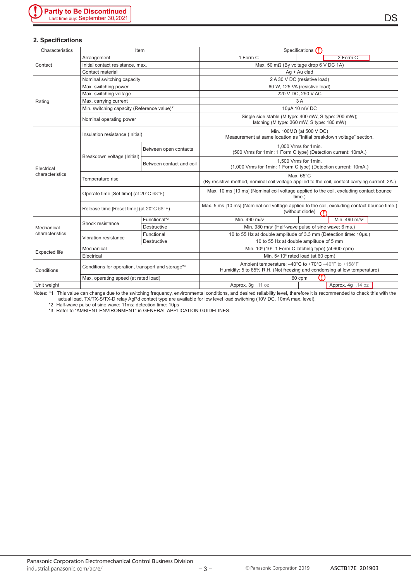#### **2. Specifications**

| Characteristics               | Item                                              |                          | Specifications (!)                                                                                                              |  |  |  |  |
|-------------------------------|---------------------------------------------------|--------------------------|---------------------------------------------------------------------------------------------------------------------------------|--|--|--|--|
|                               | Arrangement                                       |                          | 2 Form C<br>1 Form C                                                                                                            |  |  |  |  |
| Contact                       | Initial contact resistance, max.                  |                          | Max. 50 m $\Omega$ (By voltage drop 6 V DC 1A)                                                                                  |  |  |  |  |
|                               | Contact material                                  |                          | Ag + Au clad                                                                                                                    |  |  |  |  |
|                               | Nominal switching capacity                        |                          | 2 A 30 V DC (resistive load)                                                                                                    |  |  |  |  |
|                               | Max. switching power                              |                          | 60 W, 125 VA (resistive load)                                                                                                   |  |  |  |  |
|                               | Max. switching voltage                            |                          | 220 V DC, 250 V AC                                                                                                              |  |  |  |  |
| Rating                        | Max. carrying current                             |                          | 3A                                                                                                                              |  |  |  |  |
|                               | Min. switching capacity (Reference value)*1       |                          | 10µA 10 mV DC                                                                                                                   |  |  |  |  |
|                               | Nominal operating power                           |                          | Single side stable (M type: 400 mW, S type: 200 mW);<br>latching (M type: 360 mW, S type: 180 mW)                               |  |  |  |  |
|                               | Insulation resistance (Initial)                   |                          | Min. 100 $M\Omega$ (at 500 V DC)<br>Measurement at same location as "Initial breakdown voltage" section.                        |  |  |  |  |
| Electrical<br>characteristics |                                                   | Between open contacts    | 1.000 Vrms for 1min.<br>(500 Vrms for 1min: 1 Form C type) (Detection current: 10mA.)                                           |  |  |  |  |
|                               | Breakdown voltage (Initial)                       | Between contact and coil | 1,500 Vrms for 1min.<br>(1,000 Vrms for 1min: 1 Form C type) (Detection current: 10mA.)                                         |  |  |  |  |
|                               | Temperature rise                                  |                          | Max. 65°C<br>(By resistive method, nominal coil voltage applied to the coil, contact carrying current: 2A.)                     |  |  |  |  |
|                               | Operate time [Set time] (at 20°C 68°F)            |                          | Max. 10 ms [10 ms] (Nominal coil voltage applied to the coil, excluding contact bounce<br>time.)                                |  |  |  |  |
|                               | Release time [Reset time] (at 20°C 68°F)          |                          | Max. 5 ms [10 ms] (Nominal coil voltage applied to the coil, excluding contact bounce time.)<br>(without diode)                 |  |  |  |  |
| Mechanical<br>characteristics |                                                   | Functional* <sup>2</sup> | Min. 490 $m/s2$<br>Min. $490 \text{ m/s}^2$                                                                                     |  |  |  |  |
|                               | Shock resistance                                  | <b>Destructive</b>       | Min. 980 m/s <sup>2</sup> (Half-wave pulse of sine wave: 6 ms.)                                                                 |  |  |  |  |
|                               |                                                   | Functional               | 10 to 55 Hz at double amplitude of 3.3 mm (Detection time: 10us.)                                                               |  |  |  |  |
|                               | Vibration resistance                              | <b>Destructive</b>       | 10 to 55 Hz at double amplitude of 5 mm                                                                                         |  |  |  |  |
| <b>Expected life</b>          | Mechanical                                        |                          | Min. 10 <sup>8</sup> (10 <sup>7</sup> : 1 Form C latching type) (at 600 cpm)                                                    |  |  |  |  |
|                               | Electrical                                        |                          | Min. $5 \times 10^5$ rated load (at 60 cpm)                                                                                     |  |  |  |  |
| Conditions                    | Conditions for operation, transport and storage*3 |                          | Ambient temperature: -40°C to +70°C -40°F to +158°F<br>Humidity: 5 to 85% R.H. (Not freezing and condensing at low temperature) |  |  |  |  |
|                               | Max. operating speed (at rated load)              |                          | O<br>60 cpm                                                                                                                     |  |  |  |  |
| Unit weight                   |                                                   |                          | Approx. 3g .11 oz<br>Approx. 4g .14 oz                                                                                          |  |  |  |  |
|                               |                                                   |                          |                                                                                                                                 |  |  |  |  |

Notes: \*1 This value can change due to the switching frequency, environmental conditions, and desired reliability level, therefore it is recommended to check this with the actual load. TX/TX-S/TX-D relay AgPd contact type are available for low level load switching (10V DC, 10mA max. level).

\*2 Half-wave pulse of sine wave: 11ms; detection time: 10μs

\*3 Refer to "AMBIENT ENVIRONMENT" in GENERAL APPLICATION GUIDELINES.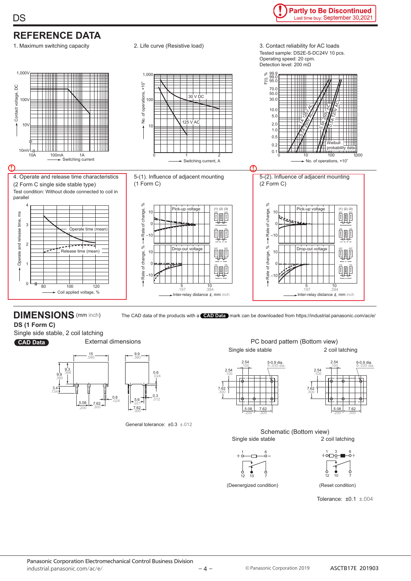

## **DIMENSIONS** (mm inch) The CAD data of the products with a **CAD Data** mark can be downloaded from https://industrial.panasonic.com/ac/e/

**DS (1 Form C)**

Single side stable, 2 coil latching



**CAD Data** External dimensions



General tolerance: ±0.3 ±.012

PC board pattern (Bottom view) Single side stable 2 coil latching









(Deenergized condition) (Reset condition)

1 3 6



Tolerance: ±0.1 ±.004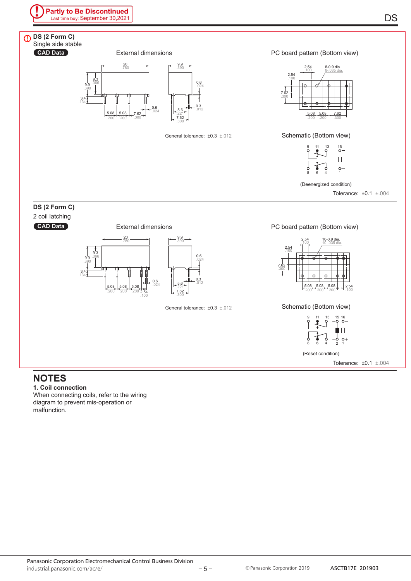PC board pattern (Bottom view)



#### General tolerance: ±0.3 ±.012





(Deenergized condition)

Tolerance: ±0.1 ±.004

#### **DS (2 Form C)**

**CAD Data**

**DS (2 Form C)**

Single side stable

2 coil latching

**CAD Data**



#### PC board pattern (Bottom view)



Schematic (Bottom view)



(Reset condition)

Tolerance: ±0.1 ±.004

## **NOTES**

**1. Coil connection**

When connecting coils, refer to the wiring diagram to prevent mis-operation or malfunction.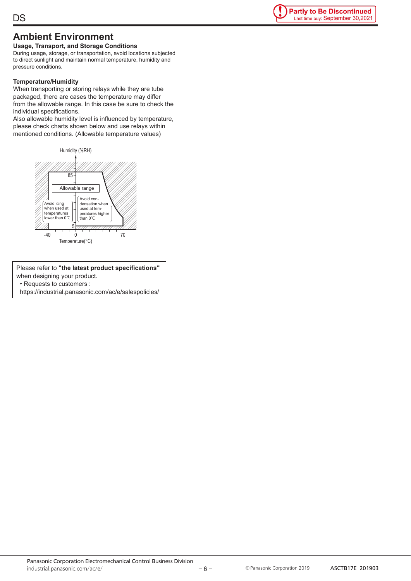## **DS**



## **Ambient Environment**

**Usage, Transport, and Storage Conditions** During usage, storage, or transportation, avoid locations subjected to direct sunlight and maintain normal temperature, humidity and pressure conditions.

#### **Temperature/Humidity**

When transporting or storing relays while they are tube packaged, there are cases the temperature may differ from the allowable range. In this case be sure to check the individual specifications.

Also allowable humidity level is influenced by temperature, please check charts shown below and use relays within mentioned conditions. (Allowable temperature values)



Please refer to **"the latest product specifications"** when designing your product. • Requests to customers :

https://industrial.panasonic.com/ac/e/salespolicies/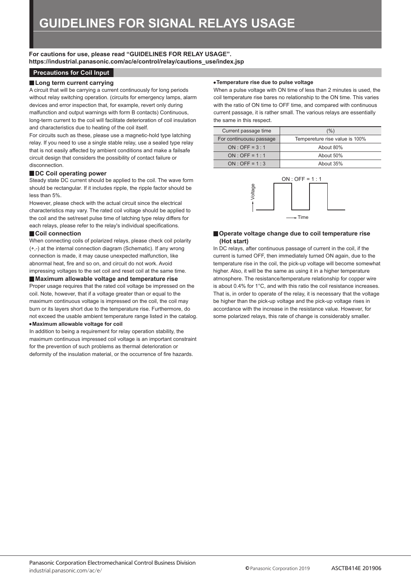**For cautions for use, please read "GUIDELINES FOR RELAY USAGE". https://industrial.panasonic.com/ac/e/control/relay/cautions\_use/index.jsp**

#### **Precautions for Coil Input**

#### **Long term current carrying**

A circuit that will be carrying a current continuously for long periods without relay switching operation. (circuits for emergency lamps, alarm devices and error inspection that, for example, revert only during malfunction and output warnings with form B contacts) Continuous, long-term current to the coil will facilitate deterioration of coil insulation and characteristics due to heating of the coil itself.

For circuits such as these, please use a magnetic-hold type latching relay. If you need to use a single stable relay, use a sealed type relay that is not easily affected by ambient conditions and make a failsafe circuit design that considers the possibility of contact failure or disconnection.

#### ■ DC Coil operating power

Steady state DC current should be applied to the coil. The wave form should be rectangular. If it includes ripple, the ripple factor should be less than 5%.

However, please check with the actual circuit since the electrical characteristics may vary. The rated coil voltage should be applied to the coil and the set/reset pulse time of latching type relay differs for each relays, please refer to the relay's individual specifications.

#### **Coil connection**

When connecting coils of polarized relays, please check coil polarity (+,-) at the internal connection diagram (Schematic). If any wrong connection is made, it may cause unexpected malfunction, like abnormal heat, fire and so on, and circuit do not work. Avoid impressing voltages to the set coil and reset coil at the same time.

#### **Maximum allowable voltage and temperature rise**

Proper usage requires that the rated coil voltage be impressed on the coil. Note, however, that if a voltage greater than or equal to the maximum continuous voltage is impressed on the coil, the coil may burn or its layers short due to the temperature rise. Furthermore, do not exceed the usable ambient temperature range listed in the catalog. **Maximum allowable voltage for coil**

In addition to being a requirement for relay operation stability, the maximum continuous impressed coil voltage is an important constraint for the prevention of such problems as thermal deterioration or deformity of the insulation material, or the occurrence of fire hazards.

#### **Temperature rise due to pulse voltage**

When a pulse voltage with ON time of less than 2 minutes is used, the coil temperature rise bares no relationship to the ON time. This varies with the ratio of ON time to OFF time, and compared with continuous current passage, it is rather small. The various relays are essentially the same in this respect.

| Current passage time    | (%)                            |
|-------------------------|--------------------------------|
| For continuousu passage | Tempereture rise value is 100% |
| $ON:OFF = 3:1$          | About 80%                      |
| $ON:OFF = 1:1$          | About 50%                      |
| $ON \cdot OFF = 1:3$    | About 35%                      |



#### **Operate voltage change due to coil temperature rise (Hot start)**

In DC relays, after continuous passage of current in the coil, if the current is turned OFF, then immediately turned ON again, due to the temperature rise in the coil, the pick-up voltage will become somewhat higher. Also, it will be the same as using it in a higher temperature atmosphere. The resistance/temperature relationship for copper wire is about 0.4% for 1°C, and with this ratio the coil resistance increases. That is, in order to operate of the relay, it is necessary that the voltage be higher than the pick-up voltage and the pick-up voltage rises in accordance with the increase in the resistance value. However, for some polarized relays, this rate of change is considerably smaller.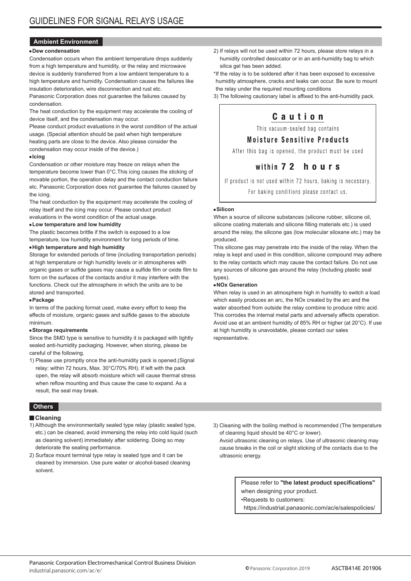#### **Ambient Environment**

#### **Dew condensation**

Condensation occurs when the ambient temperature drops suddenly from a high temperature and humidity, or the relay and microwave device is suddenly transferred from a low ambient temperature to a high temperature and humidity. Condensation causes the failures like insulation deterioration, wire disconnection and rust etc.

Panasonic Corporation does not guarantee the failures caused by condensation.

The heat conduction by the equipment may accelerate the cooling of device itself, and the condensation may occur.

Please conduct product evaluations in the worst condition of the actual usage. (Special attention should be paid when high temperature heating parts are close to the device. Also please consider the condensation may occur inside of the device.)

#### **Icing**

Condensation or other moisture may freeze on relays when the temperature become lower than 0°C.This icing causes the sticking of movable portion, the operation delay and the contact conduction failure etc. Panasonic Corporation does not guarantee the failures caused by the icing.

The heat conduction by the equipment may accelerate the cooling of relay itself and the icing may occur. Please conduct product evaluations in the worst condition of the actual usage.

#### **Low temperature and low humidity**

The plastic becomes brittle if the switch is exposed to a low temperature, low humidity environment for long periods of time.

#### **High temperature and high humidity**

Storage for extended periods of time (including transportation periods) at high temperature or high humidity levels or in atmospheres with organic gases or sulfide gases may cause a sulfide film or oxide film to form on the surfaces of the contacts and/or it may interfere with the functions. Check out the atmosphere in which the units are to be stored and transported.

#### **Package**

In terms of the packing format used, make every effort to keep the effects of moisture, organic gases and sulfide gases to the absolute minimum.

#### **Storage requirements**

Since the SMD type is sensitive to humidity it is packaged with tightly sealed anti-humidity packaging. However, when storing, please be careful of the following.

1) Please use promptly once the anti-humidity pack is opened.(Signal relay: within 72 hours, Max. 30°C/70% RH). If left with the pack open, the relay will absorb moisture which will cause thermal stress when reflow mounting and thus cause the case to expand. As a result, the seal may break.

#### **Others**

#### **Cleaning**

- 1) Although the environmentally sealed type relay (plastic sealed type, etc.) can be cleaned, avoid immersing the relay into cold liquid (such as cleaning solvent) immediately after soldering. Doing so may deteriorate the sealing performance.
- 2) Surface mount terminal type relay is sealed type and it can be cleaned by immersion. Use pure water or alcohol-based cleaning solvent.

2) If relays will not be used within 72 hours, please store relays in a humidity controlled desiccator or in an anti-humidity bag to which silica gel has been added.

\*If the relay is to be soldered after it has been exposed to excessive humidity atmosphere, cracks and leaks can occur. Be sure to mount the relay under the required mounting conditions

3) The following cautionary label is affixed to the anti-humidity pack.

## Caution

This vacuum-sealed bag contains

#### **Moisture Sensitive Products**

After this bag is opened, the product must be used

## within 72 hours

If product is not used within 72 hours, baking is necessary. For baking conditions please contact us.

#### **Silicon**

When a source of silicone substances (silicone rubber, silicone oil, silicone coating materials and silicone filling materials etc.) is used around the relay, the silicone gas (low molecular siloxane etc.) may be produced.

This silicone gas may penetrate into the inside of the relay. When the relay is kept and used in this condition, silicone compound may adhere to the relay contacts which may cause the contact failure. Do not use any sources of silicone gas around the relay (Including plastic seal types).

#### **NOx Generation**

When relay is used in an atmosphere high in humidity to switch a load which easily produces an arc, the NOx created by the arc and the water absorbed from outside the relay combine to produce nitric acid. This corrodes the internal metal parts and adversely affects operation. Avoid use at an ambient humidity of 85% RH or higher (at 20°C). If use at high humidity is unavoidable, please contact our sales representative.

3) Cleaning with the boiling method is recommended (The temperature of cleaning liquid should be 40°C or lower).

Avoid ultrasonic cleaning on relays. Use of ultrasonic cleaning may cause breaks in the coil or slight sticking of the contacts due to the ultrasonic energy.

> Please refer to **"the latest product specifications"** when designing your product.

•Requests to customers:

https://industrial.panasonic.com/ac/e/salespolicies/